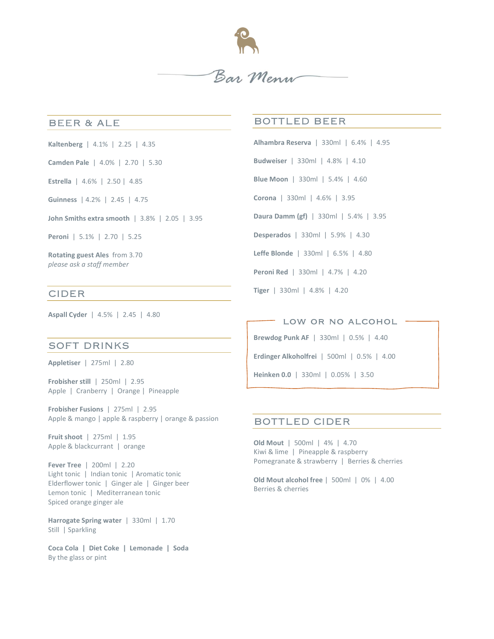

#### **BEER & ALE**

- Kaltenberg | 4.1% | 2.25 | 4.35
- Camden Pale | 4.0% | 2.70 | 5.30

Estrella | 4.6% | 2.50 | 4.85

Guinness | 4.2% | 2.45 | 4.75

John Smiths extra smooth | 3.8% | 2.05 | 3.95

Peroni | 5.1% | 2.70 | 5.25

Rotating guest Ales from 3.70 please ask a staff member

# **CIDER**

Aspall Cyder | 4.5% | 2.45 | 4.80

## **SOFT DRINKS**

Appletiser | 275ml | 2.80

Frobisher still | 250ml | 2.95 Apple | Cranberry | Orange | Pineapple

Frobisher Fusions | 275ml | 2.95 Apple & mango | apple & raspberry | orange & passion

Fruit shoot | 275ml | 1.95 Apple & blackcurrant | orange

Fever Tree | 200ml | 2.20 Light tonic | Indian tonic | Aromatic tonic Elderflower tonic | Ginger ale | Ginger beer Lemon tonic | Mediterranean tonic Spiced orange ginger ale

Harrogate Spring water | 330ml | 1.70 Still | Sparkling

Coca Cola | Diet Coke | Lemonade | Soda By the glass or pint

## **BOTTLED BEER**

Alhambra Reserva | 330ml | 6.4% | 4.95 Budweiser | 330ml | 4.8% | 4.10 Blue Moon | 330ml | 5.4% | 4.60 Corona | 330ml | 4.6% | 3.95 Daura Damm (gf) | 330ml | 5.4% | 3.95

Desperados | 330ml | 5.9% | 4.30

Leffe Blonde | 330ml | 6.5% | 4.80

Peroni Red | 330ml | 4.7% | 4.20

Tiger | 330ml | 4.8% | 4.20

LOW OR NO ALCOHOL

Brewdog Punk AF | 330ml | 0.5% | 4.40

Erdinger Alkoholfrei | 500ml | 0.5% | 4.00

Heinken 0.0 | 330ml | 0.05% | 3.50

## **BOTTLED CIDER**

Old Mout | 500ml | 4% | 4.70 Kiwi & lime | Pineapple & raspberry Pomegranate & strawberry | Berries & cherries

Old Mout alcohol free | 500ml | 0% | 4.00 Berries & cherries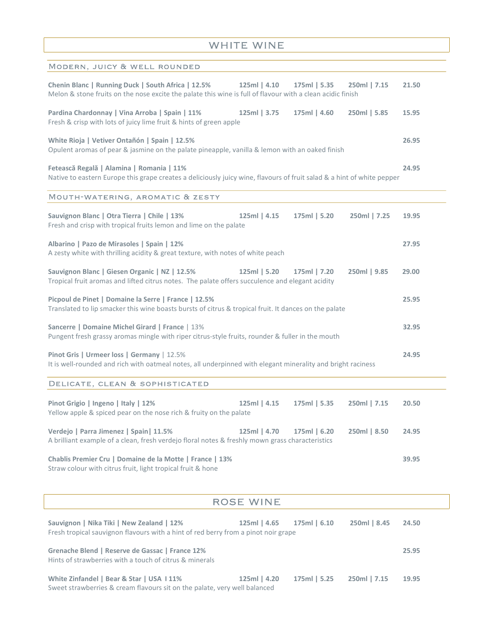# WHITE WINE

| MODERN, JUICY & WELL ROUNDED                                                                                                                                        |                  |              |              |       |
|---------------------------------------------------------------------------------------------------------------------------------------------------------------------|------------------|--------------|--------------|-------|
| Chenin Blanc   Running Duck   South Africa   12.5%<br>Melon & stone fruits on the nose excite the palate this wine is full of flavour with a clean acidic finish    | 125ml   4.10     | 175ml   5.35 | 250ml   7.15 | 21.50 |
| Pardina Chardonnay   Vina Arroba   Spain   11%<br>Fresh & crisp with lots of juicy lime fruit & hints of green apple                                                | 125ml   3.75     | 175ml   4.60 | 250ml   5.85 | 15.95 |
| White Rioja   Vetiver Ontañón   Spain   12.5%<br>Opulent aromas of pear & jasmine on the palate pineapple, vanilla & lemon with an oaked finish                     |                  |              |              | 26.95 |
| Fetească Regală   Alamina   Romania   11%<br>Native to eastern Europe this grape creates a deliciously juicy wine, flavours of fruit salad & a hint of white pepper |                  |              |              | 24.95 |
| MOUTH-WATERING, AROMATIC & ZESTY                                                                                                                                    |                  |              |              |       |
| Sauvignon Blanc   Otra Tierra   Chile   13%<br>Fresh and crisp with tropical fruits lemon and lime on the palate                                                    | $125ml$   4.15   | 175ml   5.20 | 250ml   7.25 | 19.95 |
| Albarino   Pazo de Mirasoles   Spain   12%<br>A zesty white with thrilling acidity & great texture, with notes of white peach                                       |                  |              |              | 27.95 |
| Sauvignon Blanc   Giesen Organic   NZ   12.5%<br>Tropical fruit aromas and lifted citrus notes. The palate offers succulence and elegant acidity                    | 125ml   5.20     | 175ml   7.20 | 250ml   9.85 | 29.00 |
| Picpoul de Pinet   Domaine la Serre   France   12.5%<br>Translated to lip smacker this wine boasts bursts of citrus & tropical fruit. It dances on the palate       |                  |              |              | 25.95 |
| Sancerre   Domaine Michel Girard   France   13%<br>Pungent fresh grassy aromas mingle with riper citrus-style fruits, rounder & fuller in the mouth                 |                  |              |              | 32.95 |
| Pinot Gris   Urmeer loss   Germany   12.5%<br>It is well-rounded and rich with oatmeal notes, all underpinned with elegant minerality and bright raciness           |                  |              |              | 24.95 |
| DELICATE, CLEAN & SOPHISTICATED                                                                                                                                     |                  |              |              |       |
| Pinot Grigio   Ingeno   Italy   12%<br>Yellow apple & spiced pear on the nose rich & fruity on the palate                                                           | $125ml$   4.15   | 175ml   5.35 | 250ml   7.15 | 20.50 |
| Verdejo   Parra Jimenez   Spain   11.5%<br>A brilliant example of a clean, fresh verdejo floral notes & freshly mown grass characteristics                          | 125ml   4.70     | 175ml   6.20 | 250ml   8.50 | 24.95 |
| Chablis Premier Cru   Domaine de la Motte   France   13%<br>Straw colour with citrus fruit, light tropical fruit & hone                                             |                  |              |              | 39.95 |
|                                                                                                                                                                     | <b>ROSE WINE</b> |              |              |       |
| Sauvignon   Nika Tiki   New Zealand   12%<br>Fresh tropical sauvignon flavours with a hint of red berry from a pinot noir grape                                     | 125ml   4.65     | 175ml   6.10 | 250ml   8.45 | 24.50 |
| Grenache Blend   Reserve de Gassac   France 12%<br>Hints of strawberries with a touch of citrus & minerals                                                          |                  |              |              | 25.95 |
| White Zinfandel   Bear & Star   USA 111%                                                                                                                            | 125ml   4.20     | 175ml   5.25 | 250ml   7.15 | 19.95 |

Sweet strawberries & cream flavours sit on the palate, very well balanced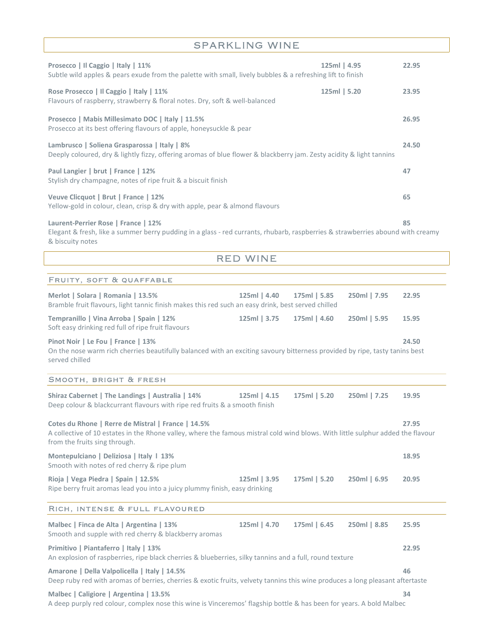| <b>SPARKLING WINE</b> |  |  |  |  |
|-----------------------|--|--|--|--|
|-----------------------|--|--|--|--|

| Prosecco   Il Caggio   Italy   11%<br>Subtle wild apples & pears exude from the palette with small, lively bubbles & a refreshing lift to finish                                          | 125ml   4.95 | 22.95 |
|-------------------------------------------------------------------------------------------------------------------------------------------------------------------------------------------|--------------|-------|
| Rose Prosecco   Il Caggio   Italy   11%<br>Flavours of raspberry, strawberry & floral notes. Dry, soft & well-balanced                                                                    | 125ml   5.20 | 23.95 |
| Prosecco   Mabis Millesimato DOC   Italy   11.5%<br>Prosecco at its best offering flavours of apple, honeysuckle & pear                                                                   |              | 26.95 |
| Lambrusco   Soliena Grasparossa   Italy   8%<br>Deeply coloured, dry & lightly fizzy, offering aromas of blue flower & blackberry jam. Zesty acidity & light tannins                      |              | 24.50 |
| Paul Langier   brut   France   12%<br>Stylish dry champagne, notes of ripe fruit & a biscuit finish                                                                                       |              | 47    |
| Veuve Clicquot   Brut   France   12%<br>Yellow-gold in colour, clean, crisp & dry with apple, pear & almond flavours                                                                      |              | 65    |
| Laurent-Perrier Rose   France   12%<br>Elegant & fresh, like a summer berry pudding in a glass - red currants, rhubarb, raspberries & strawberries abound with creamy<br>& biscuity notes |              | 85    |
| <b>RED WINE</b>                                                                                                                                                                           |              |       |
| FRUITY, SOFT & QUAFFABLE                                                                                                                                                                  |              |       |
| Merlot   Solara   Romania   13.5%<br>125ml   4.40<br>175ml   5.85<br>Bramble fruit flavours, light tannic finish makes this red such an easy drink, best served chilled                   | 250ml   7.95 | 22.95 |

| Tempranillo   Vina Arroba   Spain   12%<br>Soft easy drinking red full of ripe fruit flavours                               | 125ml 3.75 175ml 4.60 | 250ml   5.95 | 15.95 |
|-----------------------------------------------------------------------------------------------------------------------------|-----------------------|--------------|-------|
| Pinot Noir   Le Fou   France   13%                                                                                          |                       |              | 24.50 |
| On the nose warm rich cherries beautifully balanced with an exciting savoury bitterness provided by ripe, tasty tanins best |                       |              |       |
| served chilled                                                                                                              |                       |              |       |

#### SMOOTH, BRIGHT & FRESH

| Shiraz Cabernet   The Landings   Australia   14%<br>Deep colour & blackcurrant flavours with ripe red fruits & a smooth finish                                                                                         | $125ml$   4.15 | 175ml   5.20   | 250ml   7.25 | 19.95 |
|------------------------------------------------------------------------------------------------------------------------------------------------------------------------------------------------------------------------|----------------|----------------|--------------|-------|
| Cotes du Rhone   Rerre de Mistral   France   14.5%<br>A collective of 10 estates in the Rhone valley, where the famous mistral cold wind blows. With little sulphur added the flavour<br>from the fruits sing through. |                |                |              | 27.95 |
| Montepulciano   Deliziosa   Italy   13%<br>Smooth with notes of red cherry & ripe plum                                                                                                                                 |                |                |              | 18.95 |
| Rioja   Vega Piedra   Spain   12.5%<br>Ripe berry fruit aromas lead you into a juicy plummy finish, easy drinking                                                                                                      | 125ml   3.95   | 175ml   5.20   | 250ml   6.95 | 20.95 |
| RICH, INTENSE & FULL FLAVOURED                                                                                                                                                                                         |                |                |              |       |
| Malbec   Finca de Alta   Argentina   13%<br>Smooth and supple with red cherry & blackberry aromas                                                                                                                      | 125ml   4.70   | $175ml$   6.45 | 250ml   8.85 | 25.95 |
| Primitivo   Piantaferro   Italy   13%<br>An explosion of raspberries, ripe black cherries & blueberries, silky tannins and a full, round texture                                                                       |                |                |              |       |
| Amarone   Della Valpolicella   Italy   14.5%<br>Deep ruby red with aromas of berries, cherries & exotic fruits, velvety tannins this wine produces a long pleasant aftertaste                                          |                |                |              | 46    |

## Malbec | Caligiore | Argentina | 13.5% 34

A deep purply red colour, complex nose this wine is Vinceremos' flagship bottle & has been for years. A bold Malbec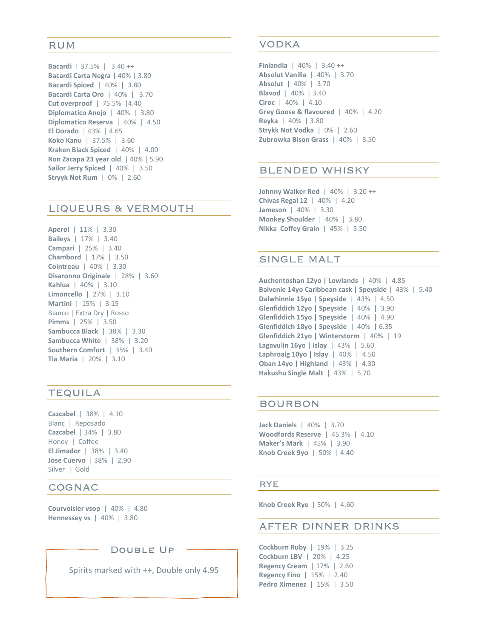#### **RUM**

Bacardi I 37.5% | 3.40 ++ Bacardi Carta Negra | 40% | 3.80 Bacardi Spiced | 40% | 3.80 Bacardi Carta Oro | 40% | 3.70 Cut overproof | 75.5% |4.40 Diplomatico Anejo | 40% | 3.80 Diplomatico Reserva | 40% | 4.50 El Dorado | 43% | 4.65 Koko Kanu | 37.5% | 3.60 Kraken Black Spiced | 40% | 4.00 Ron Zacapa 23 year old | 40% | 5.90 Sailor Jerry Spiced | 40% | 3.50 Stryyk Not Rum | 0% | 2.60

# LIQUEURS & VERMOUTH

Aperol | 11% | 3.30 Baileys | 17% | 3.40 Campari | 25% | 3.40 Chambord | 17% | 3.50 Cointreau | 40% | 3.30 Disaronno Originale | 28% | 3.60 Kahlua | 40% | 3.10 Limoncello | 27% | 3.10 Martini | 15% | 3.15 Bianco | Extra Dry | Rosso Pimms | 25% | 3.50 Sambucca Black | 38% | 3.30 Sambucca White | 38% | 3.20 Southern Comfort | 35% | 3.40 Tia Maria | 20% | 3.10

# **TEQUILA**

Cazcabel | 38% | 4.10 Blanc | Reposado Cazcabel | 34% | 3.80 Honey | Coffee El Jimador | 38% | 3.40 Jose Cuervo | 38% | 2.90 Silver | Gold

#### **COGNAC**

Courvoisier vsop | 40% | 4.80 Hennessey vs | 40% | 3.80

DOUBLE UP

Spirits marked with ++, Double only 4.95

## **VODKA**

Finlandia | 40% | 3.40 ++ Absolut Vanilla | 40% | 3.70 Absolut | 40% | 3.70 Blavod | 40% | 3.40 Ciroc | 40% | 4.10 Grey Goose & flavoured | 40% | 4.20 Reyka | 40% | 3.80 Strykk Not Vodka | 0% | 2.60 Zubrowka Bison Grass | 40% | 3.50

## **BLENDED WHISKY**

Johnny Walker Red | 40% | 3.20 ++ Chivas Regal 12 | 40% | 4.20 Jameson | 40% | 3.30 Monkey Shoulder | 40% | 3.80 Nikka Coffey Grain | 45% | 5.50

## **SINGLE MALT**

Auchentoshan 12yo | Lowlands | 40% | 4.85 Balvenie 14yo Caribbean cask | Speyside | 43% | 5.40 Dalwhinnie 15yo | Speyside | 43% | 4.50 Glenfiddich 12yo | Speyside | 40% | 3.90 Glenfiddich 15yo | Speyside | 40% | 4.90 Glenfiddich 18yo | Speyside | 40% | 6.35 Glenfiddich 21yo | Winterstorm | 40% | 19 Lagavulin 16yo | Islay | 43% | 5.60 Laphroaig 10yo | Islay | 40% | 4.50 Oban 14yo | Highland | 43% | 4.30 Hakushu Single Malt | 43% | 5.70

#### **BOURBON**

Jack Daniels | 40% | 3.70 Woodfords Reserve | 45.3% | 4.10 Maker's Mark | 45% | 3.90 Knob Creek 9yo | 50% | 4.40

#### **RYE**

Knob Creek Rye | 50% | 4.60

#### AFTER DINNER DRINKS

Cockburn Ruby | 19% | 3.25 Cockburn LBV | 20% | 4.25 Regency Cream | 17% | 2.60 Regency Fino | 15% | 2.40 Pedro Ximenez | 15% | 3.50